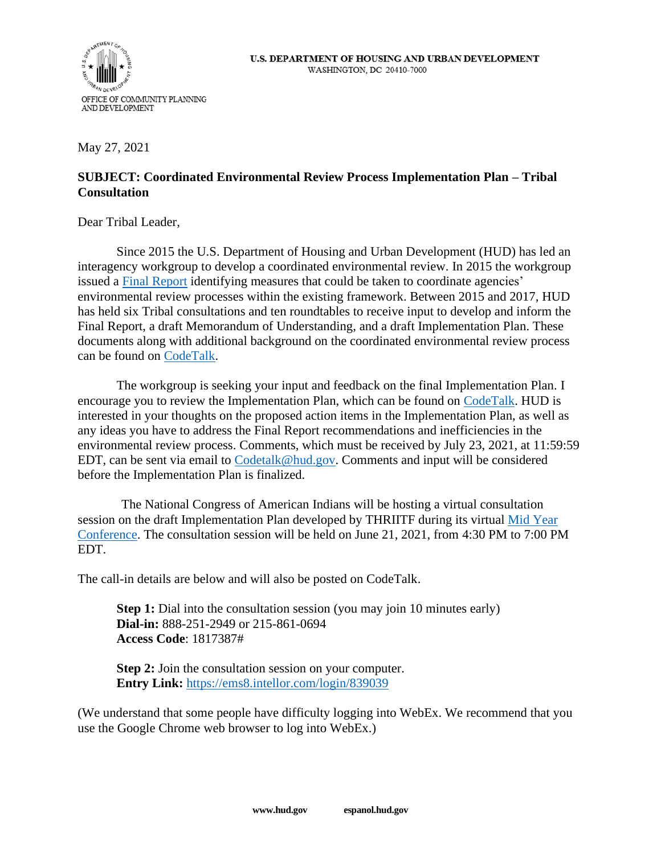

May 27, 2021

## **SUBJECT: Coordinated Environmental Review Process Implementation Plan – Tribal Consultation**

Dear Tribal Leader,

Since 2015 the U.S. Department of Housing and Urban Development (HUD) has led an interagency workgroup to develop a coordinated environmental review. In 2015 the workgroup issued a [Final Report](https://www.hud.gov/sites/documents/COORENVIRREVIEW.PDF) identifying measures that could be taken to coordinate agencies' environmental review processes within the existing framework. Between 2015 and 2017, HUD has held six Tribal consultations and ten roundtables to receive input to develop and inform the Final Report, a draft Memorandum of Understanding, and a draft Implementation Plan. These documents along with additional background on the coordinated environmental review process can be found on [CodeTalk.](https://www.hud.gov/program_offices/public_indian_housing/ih/codetalk/resources/THRIITF)

The workgroup is seeking your input and feedback on the final Implementation Plan. I encourage you to review the Implementation Plan, which can be found on [CodeTalk.](https://www.hud.gov/program_offices/public_indian_housing/ih/codetalk/resources/THRIITF) HUD is interested in your thoughts on the proposed action items in the Implementation Plan, as well as any ideas you have to address the Final Report recommendations and inefficiencies in the environmental review process. Comments, which must be received by July 23, 2021, at 11:59:59 EDT, can be sent via email to [Codetalk@hud.gov.](mailto:Codetalk@hud.gov) Comments and input will be considered before the Implementation Plan is finalized.

The National Congress of American Indians will be hosting a virtual consultation session on the draft Implementation Plan developed by THRIITF during its virtual [Mid Year](https://www.ncai.org/events/2021/06/20/2021-mid-year-conference)  [Conference.](https://www.ncai.org/events/2021/06/20/2021-mid-year-conference) The consultation session will be held on June 21, 2021, from 4:30 PM to 7:00 PM EDT.

The call-in details are below and will also be posted on CodeTalk.

**Step 1:** Dial into the consultation session (you may join 10 minutes early) **Dial-in:** 888-251-2949 or 215-861-0694 **Access Code**: 1817387#

**Step 2:** Join the consultation session on your computer. **Entry Link:** <https://ems8.intellor.com/login/839039>

(We understand that some people have difficulty logging into WebEx. We recommend that you use the Google Chrome web browser to log into WebEx.)